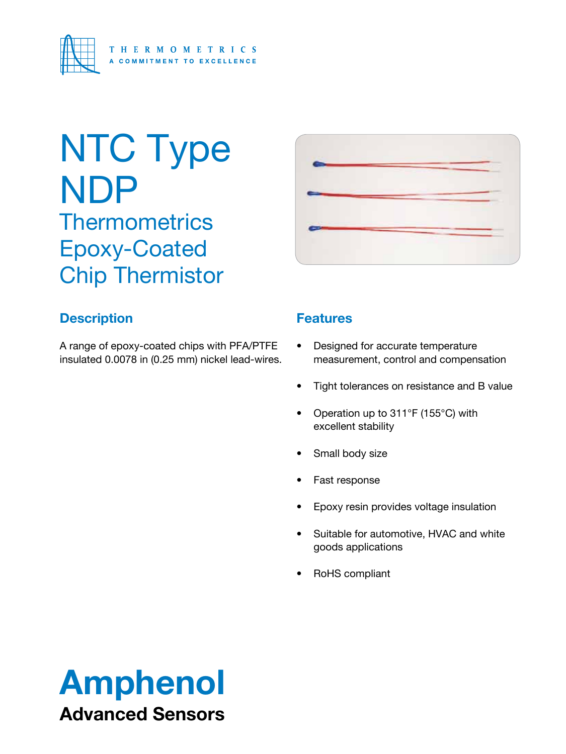

# NTC Type NDP **Thermometrics** Epoxy-Coated

Chip Thermistor



### **Description**

A range of epoxy-coated chips with PFA/PTFE insulated 0.0078 in (0.25 mm) nickel lead-wires.

#### **Features**

- • Designed for accurate temperature measurement, control and compensation
- • Tight tolerances on resistance and B value
- Operation up to 311°F (155°C) with excellent stability
- Small body size
- Fast response
- Epoxy resin provides voltage insulation
- • Suitable for automotive, HVAC and white goods applications
- RoHS compliant